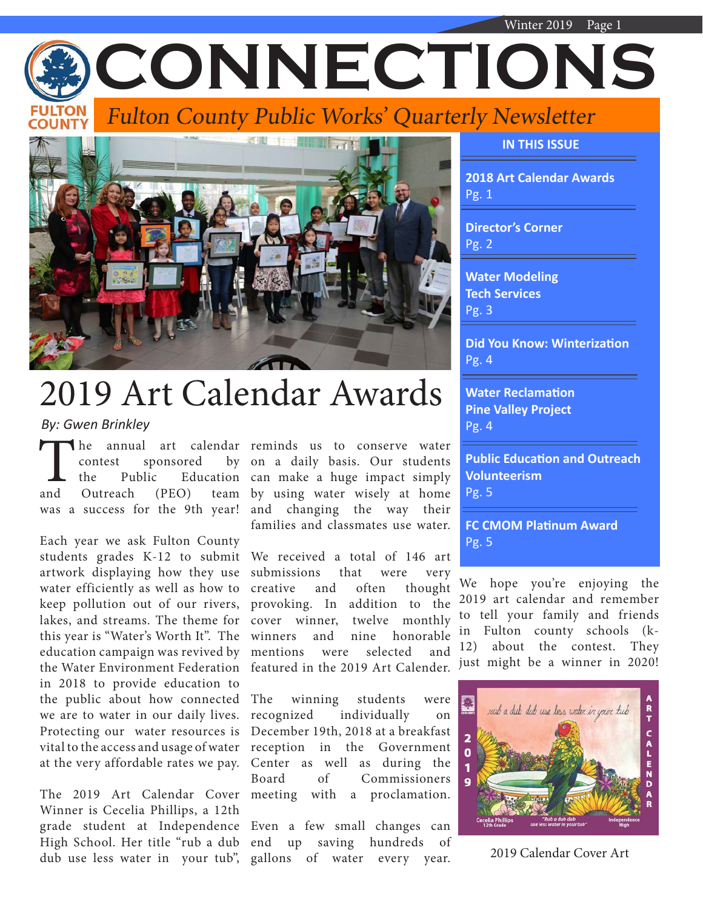



# 2019 Art Calendar Awards

*By: Gwen Brinkley*

The annual art calendar reminds us to conserve water<br>
contest sponsored by on a daily basis. Our students<br>
the Public Education can make a huge impact simply<br>
and Outreach (PEO) team by using water wisely at home contest sponsored and Outreach (PEO) was a success for the 9th year!

Each year we ask Fulton County students grades K-12 to submit artwork displaying how they use water efficiently as well as how to keep pollution out of our rivers, lakes, and streams. The theme for this year is "Water's Worth It". The education campaign was revived by the Water Environment Federation in 2018 to provide education to the public about how connected we are to water in our daily lives. Protecting our water resources is vital to the access and usage of water at the very affordable rates we pay.

Winner is Cecelia Phillips, a 12th dub use less water in your tub", gallons of water every year. 2019 Calendar Cover Art

the Public Education can make a huge impact simply by on a daily basis. Our students by using water wisely at home and changing the way their families and classmates use water.

> We received a total of 146 art submissions that were very creative and often thought provoking. In addition to the cover winner, twelve monthly winners and nine honorable mentions were selected and featured in the 2019 Art Calender.

The 2019 Art Calendar Cover meeting with a proclamation.  $winning$  students were recognized individually on December 19th, 2018 at a breakfast reception in the Government Center as well as during the Board of Commissioners

grade student at Independence Even a few small changes can High School. Her title "rub a dub end up saving hundreds of **IN THIS ISSUE**

**2018 Art Calendar Awards** Pg. 1

**Director's Corner** Pg. 2

**Water Modeling Tech Services** Pg. 3

**Did You Know: Winterization** Pg. 4

**Water Reclamation Pine Valley Project** Pg. 4

**Public Education and Outreach Volunteerism** Pg. 5

**FC CMOM Platinum Award** Pg. 5

We hope you're enjoying the 2019 art calendar and remember to tell your family and friends in Fulton county schools (k-12) about the contest. They just might be a winner in 2020!

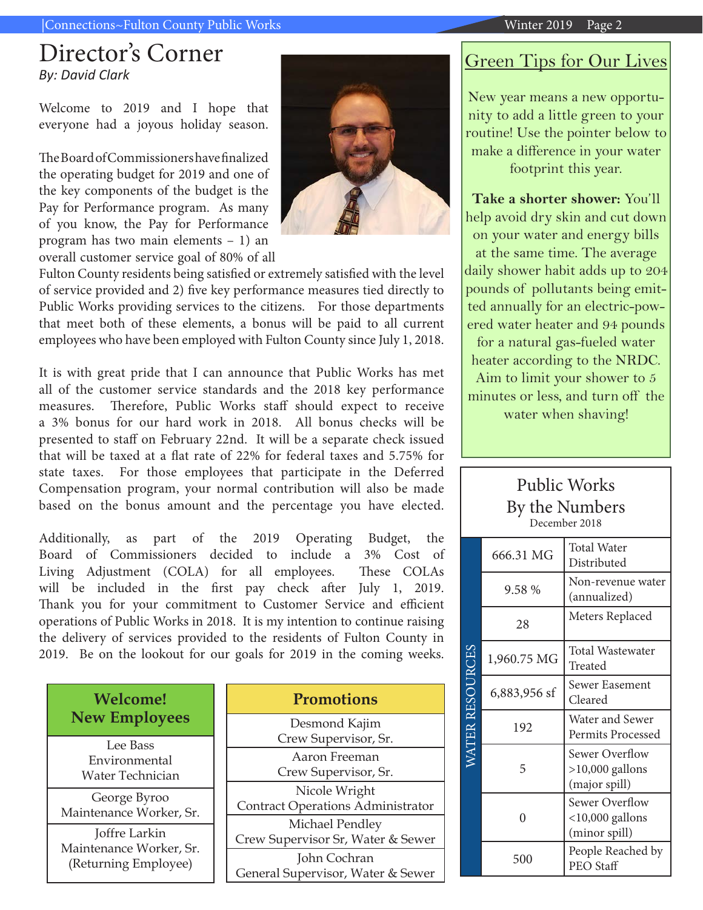#### |Connections~Fulton County Public Works Winter 2019 Page 2

### Director's Corner *By: David Clark*

Welcome to 2019 and I hope that everyone had a joyous holiday season.

The Board of Commissioners have finalized the operating budget for 2019 and one of the key components of the budget is the Pay for Performance program. As many of you know, the Pay for Performance program has two main elements – 1) an overall customer service goal of 80% of all



Fulton County residents being satisfied or extremely satisfied with the level of service provided and 2) five key performance measures tied directly to Public Works providing services to the citizens. For those departments that meet both of these elements, a bonus will be paid to all current employees who have been employed with Fulton County since July 1, 2018.

It is with great pride that I can announce that Public Works has met all of the customer service standards and the 2018 key performance measures. Therefore, Public Works staff should expect to receive a 3% bonus for our hard work in 2018. All bonus checks will be presented to staff on February 22nd. It will be a separate check issued that will be taxed at a flat rate of 22% for federal taxes and 5.75% for state taxes. For those employees that participate in the Deferred Compensation program, your normal contribution will also be made based on the bonus amount and the percentage you have elected.

Additionally, as part of the 2019 Operating Budget, the Board of Commissioners decided to include a 3% Cost of Living Adjustment (COLA) for all employees. These COLAs will be included in the first pay check after July 1, 2019. Thank you for your commitment to Customer Service and efficient operations of Public Works in 2018. It is my intention to continue raising the delivery of services provided to the residents of Fulton County in 2019. Be on the lookout for our goals for 2019 in the coming weeks.

| <b>Welcome!</b>                                                  | <b>Promotions</b>                                         |
|------------------------------------------------------------------|-----------------------------------------------------------|
| <b>New Employees</b>                                             | Desmond Kajim<br>Crew Supervisor, Sr.                     |
| Lee Bass<br>Environmental<br>Water Technician                    | Aaron Freeman<br>Crew Supervisor, Sr.                     |
| George Byroo<br>Maintenance Worker, Sr.                          | Nicole Wright<br><b>Contract Operations Administrator</b> |
| Joffre Larkin<br>Maintenance Worker, Sr.<br>(Returning Employee) | Michael Pendley<br>Crew Supervisor Sr, Water & Sewer      |
|                                                                  | John Cochran<br>General Supervisor, Water & Sewer         |

## Green Tips for Our Lives

New year means a new opportunity to add a little green to your routine! Use the pointer below to make a difference in your water footprint this year.

**Take a shorter shower:** You'll help avoid dry skin and cut down on your water and energy bills at the same time. The average daily shower habit adds up to 204 pounds of pollutants being emitted annually for an electric-powered water heater and 94 pounds for a natural gas-fueled water heater according to the NRDC. Aim to limit your shower to 5 minutes or less, and turn off the water when shaving!

### Public Works By the Numbers December 2018

|                        | 666.31 MG    | Total Water<br>Distributed                                  |  |
|------------------------|--------------|-------------------------------------------------------------|--|
|                        | 9.58 %       | Non-revenue water<br>(annualized)                           |  |
|                        | 28           | Meters Replaced                                             |  |
|                        | 1,960.75 MG  | Total Wastewater<br>Treated                                 |  |
|                        | 6,883,956 sf | Sewer Easement<br>Cleared                                   |  |
| <i>NATER RESOURCES</i> | 192          | Water and Sewer<br>Permits Processed                        |  |
|                        | 5            | <b>Sewer Overflow</b><br>$>10,000$ gallons<br>(major spill) |  |
|                        | 0            | Sewer Overflow<br>$<$ 10,000 gallons<br>(minor spill)       |  |
|                        | 500          | People Reached by<br>PEO Staff                              |  |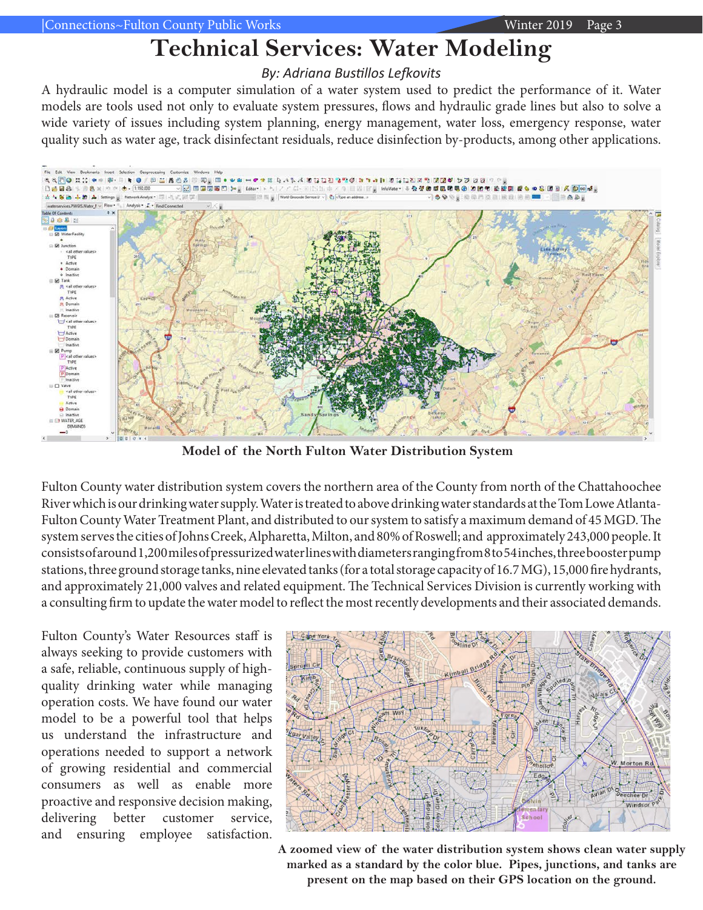# **Technical Services: Water Modeling**

### *By: Adriana Bustillos Lefkovits*

A hydraulic model is a computer simulation of a water system used to predict the performance of it. Water models are tools used not only to evaluate system pressures, flows and hydraulic grade lines but also to solve a wide variety of issues including system planning, energy management, water loss, emergency response, water quality such as water age, track disinfectant residuals, reduce disinfection by-products, among other applications.



**Model of the North Fulton Water Distribution System**

Fulton County water distribution system covers the northern area of the County from north of the Chattahoochee River which is our drinking water supply. Water is treated to above drinking water standards at the Tom Lowe Atlanta-Fulton County Water Treatment Plant, and distributed to our system to satisfy a maximum demand of 45 MGD. The system serves the cities of Johns Creek, Alpharetta, Milton, and 80% of Roswell; and approximately 243,000 people. It consists of around 1,200 miles of pressurized water lines with diameters ranging from 8 to 54 inches, three booster pump stations, three ground storage tanks, nine elevated tanks (for a total storage capacity of 16.7 MG), 15,000 fire hydrants, and approximately 21,000 valves and related equipment. The Technical Services Division is currently working with a consulting firm to update the water model to reflect the most recently developments and their associated demands.

Fulton County's Water Resources staff is always seeking to provide customers with a safe, reliable, continuous supply of highquality drinking water while managing operation costs. We have found our water model to be a powerful tool that helps us understand the infrastructure and operations needed to support a network of growing residential and commercial consumers as well as enable more proactive and responsive decision making, delivering better customer service, and ensuring employee satisfaction.



**A zoomed view of the water distribution system shows clean water supply marked as a standard by the color blue. Pipes, junctions, and tanks are present on the map based on their GPS location on the ground.**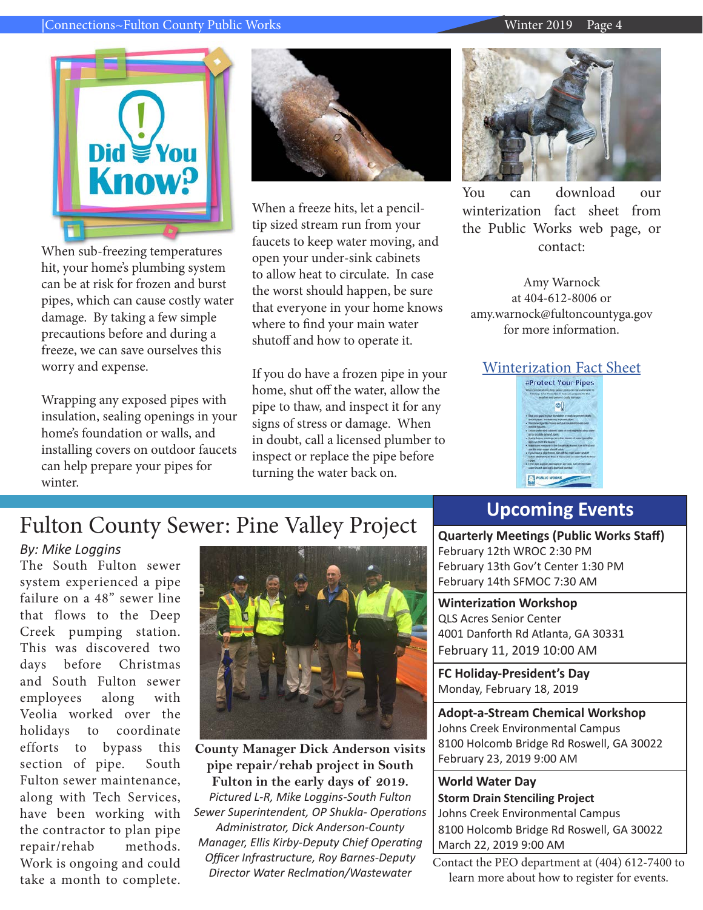#### |Connections~Fulton County Public Works Winter 2019 Page 4



When sub-freezing temperatures hit, your home's plumbing system can be at risk for frozen and burst pipes, which can cause costly water damage. By taking a few simple precautions before and during a freeze, we can save ourselves this worry and expense.

Wrapping any exposed pipes with insulation, sealing openings in your home's foundation or walls, and installing covers on outdoor faucets can help prepare your pipes for winter.



When a freeze hits, let a penciltip sized stream run from your faucets to keep water moving, and open your under-sink cabinets to allow heat to circulate. In case the worst should happen, be sure that everyone in your home knows where to find your main water shutoff and how to operate it.

If you do have a frozen pipe in your home, shut off the water, allow the pipe to thaw, and inspect it for any signs of stress or damage. When in doubt, call a licensed plumber to inspect or replace the pipe before turning the water back on.



You can download our winterization fact sheet from the Public Works web page, or contact:

Amy Warnock at 404-612-8006 or amy.warnock@fultoncountyga.gov for more information.

# [Winterization Fact Sheet](http://www.fultoncountyga.gov/images/stories/WR2/2017/Protect_Your_Pipes_Fact_Sheet.pdf)



# Fulton County Sewer: Pine Valley Project

### *By: Mike Loggins*

The South Fulton sewer system experienced a pipe failure on a 48" sewer line that flows to the Deep Creek pumping station. This was discovered two days before Christmas and South Fulton sewer employees along with Veolia worked over the holidays to coordinate efforts to bypass this section of pipe. South Fulton sewer maintenance, along with Tech Services, have been working with the contractor to plan pipe repair/rehab methods. Work is ongoing and could take a month to complete.



**County Manager Dick Anderson visits pipe repair/rehab project in South Fulton in the early days of 2019.** *Pictured L-R, Mike Loggins-South Fulton Sewer Superintendent, OP Shukla- Operations Administrator, Dick Anderson-County Manager, Ellis Kirby-Deputy Chief Operating Officer Infrastructure, Roy Barnes-Deputy Director Water Reclmation/Wastewater* 

### **Upcoming Events**

**Quarterly Meetings (Public Works Staff)** February 12th WROC 2:30 PM February 13th Gov't Center 1:30 PM February 14th SFMOC 7:30 AM

**Winterization Workshop** QLS Acres Senior Center 4001 Danforth Rd Atlanta, GA 30331 February 11, 2019 10:00 AM

**FC Holiday-President's Day** Monday, February 18, 2019

**Adopt-a-Stream Chemical Workshop** Johns Creek Environmental Campus 8100 Holcomb Bridge Rd Roswell, GA 30022 February 23, 2019 9:00 AM

**World Water Day Storm Drain Stenciling Project** Johns Creek Environmental Campus 8100 Holcomb Bridge Rd Roswell, GA 30022 March 22, 2019 9:00 AM

Contact the PEO department at (404) 612-7400 to learn more about how to register for events.